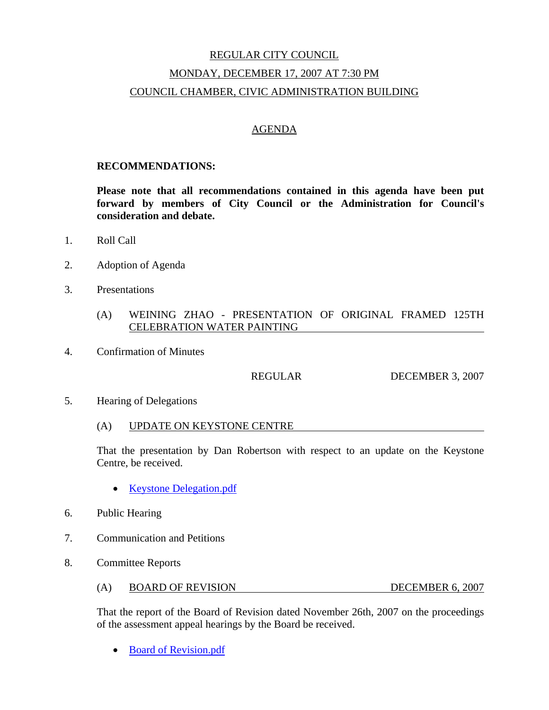# REGULAR CITY COUNCIL MONDAY, DECEMBER 17, 2007 AT 7:30 PM COUNCIL CHAMBER, CIVIC ADMINISTRATION BUILDING

## AGENDA

#### **RECOMMENDATIONS:**

**Please note that all recommendations contained in this agenda have been put forward by members of City Council or the Administration for Council's consideration and debate.** 

- 1. Roll Call
- 2. Adoption of Agenda
- 3. Presentations
	- (A) WEINING ZHAO PRESENTATION OF ORIGINAL FRAMED 125TH CELEBRATION WATER PAINTING
- 4. Confirmation of Minutes

REGULAR DECEMBER 3, 2007

- 5. Hearing of Delegations
	- (A) UPDATE ON KEYSTONE CENTRE

That the presentation by Dan Robertson with respect to an update on the Keystone Centre, be received.

- Keystone Delegation.pdf
- 6. Public Hearing
- 7. Communication and Petitions
- 8. Committee Reports
	- (A) BOARD OF REVISION DECEMBER 6, 2007

That the report of the Board of Revision dated November 26th, 2007 on the proceedings of the assessment appeal hearings by the Board be received.

• Board of Revision.pdf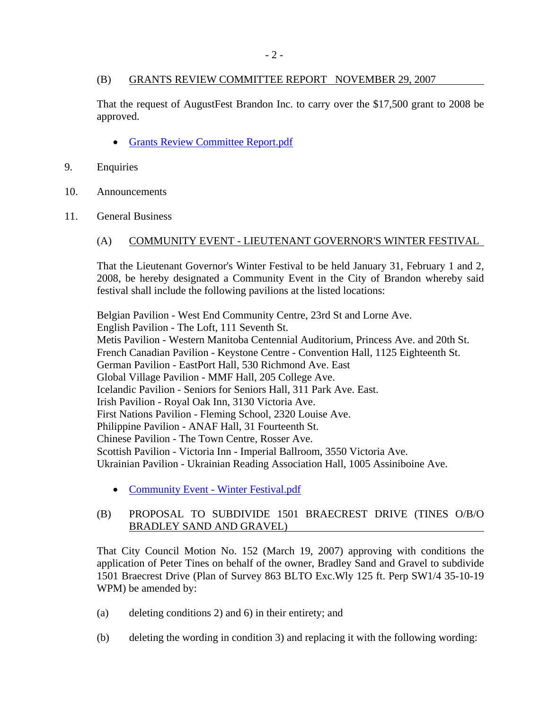# (B) GRANTS REVIEW COMMITTEE REPORT NOVEMBER 29, 2007

That the request of AugustFest Brandon Inc. to carry over the \$17,500 grant to 2008 be approved.

- Grants Review Committee Report.pdf
- 9. Enquiries
- 10. Announcements
- 11. General Business

## (A) COMMUNITY EVENT - LIEUTENANT GOVERNOR'S WINTER FESTIVAL

That the Lieutenant Governor's Winter Festival to be held January 31, February 1 and 2, 2008, be hereby designated a Community Event in the City of Brandon whereby said festival shall include the following pavilions at the listed locations:

Belgian Pavilion - West End Community Centre, 23rd St and Lorne Ave. English Pavilion - The Loft, 111 Seventh St. Metis Pavilion - Western Manitoba Centennial Auditorium, Princess Ave. and 20th St. French Canadian Pavilion - Keystone Centre - Convention Hall, 1125 Eighteenth St. German Pavilion - EastPort Hall, 530 Richmond Ave. East Global Village Pavilion - MMF Hall, 205 College Ave. Icelandic Pavilion - Seniors for Seniors Hall, 311 Park Ave. East. Irish Pavilion - Royal Oak Inn, 3130 Victoria Ave. First Nations Pavilion - Fleming School, 2320 Louise Ave. Philippine Pavilion - ANAF Hall, 31 Fourteenth St. Chinese Pavilion - The Town Centre, Rosser Ave. Scottish Pavilion - Victoria Inn - Imperial Ballroom, 3550 Victoria Ave. Ukrainian Pavilion - Ukrainian Reading Association Hall, 1005 Assiniboine Ave.

• Community Event - Winter Festival.pdf

## (B) PROPOSAL TO SUBDIVIDE 1501 BRAECREST DRIVE (TINES O/B/O BRADLEY SAND AND GRAVEL)

That City Council Motion No. 152 (March 19, 2007) approving with conditions the application of Peter Tines on behalf of the owner, Bradley Sand and Gravel to subdivide 1501 Braecrest Drive (Plan of Survey 863 BLTO Exc.Wly 125 ft. Perp SW1/4 35-10-19 WPM) be amended by:

- (a) deleting conditions 2) and 6) in their entirety; and
- (b) deleting the wording in condition 3) and replacing it with the following wording: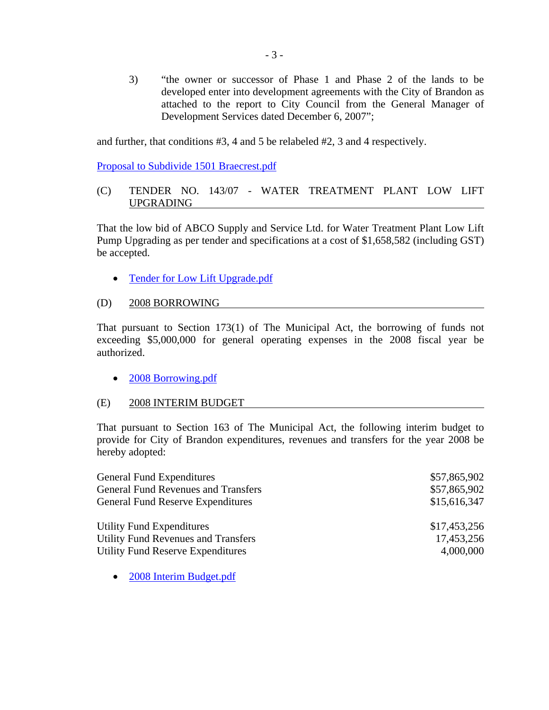3) "the owner or successor of Phase 1 and Phase 2 of the lands to be developed enter into development agreements with the City of Brandon as attached to the report to City Council from the General Manager of Development Services dated December 6, 2007";

and further, that conditions #3, 4 and 5 be relabeled #2, 3 and 4 respectively.

Proposal to Subdivide 1501 Braecrest.pdf

## (C) TENDER NO. 143/07 - WATER TREATMENT PLANT LOW LIFT UPGRADING

That the low bid of ABCO Supply and Service Ltd. for Water Treatment Plant Low Lift Pump Upgrading as per tender and specifications at a cost of \$1,658,582 (including GST) be accepted.

• Tender for Low Lift Upgrade.pdf

## (D) 2008 BORROWING

That pursuant to Section 173(1) of The Municipal Act, the borrowing of funds not exceeding \$5,000,000 for general operating expenses in the 2008 fiscal year be authorized.

• 2008 Borrowing.pdf

#### (E) 2008 INTERIM BUDGET

That pursuant to Section 163 of The Municipal Act, the following interim budget to provide for City of Brandon expenditures, revenues and transfers for the year 2008 be hereby adopted:

| <b>General Fund Expenditures</b>           | \$57,865,902 |
|--------------------------------------------|--------------|
| <b>General Fund Revenues and Transfers</b> | \$57,865,902 |
| <b>General Fund Reserve Expenditures</b>   | \$15,616,347 |
| <b>Utility Fund Expenditures</b>           | \$17,453,256 |
| <b>Utility Fund Revenues and Transfers</b> | 17,453,256   |
| <b>Utility Fund Reserve Expenditures</b>   | 4,000,000    |

• 2008 Interim Budget.pdf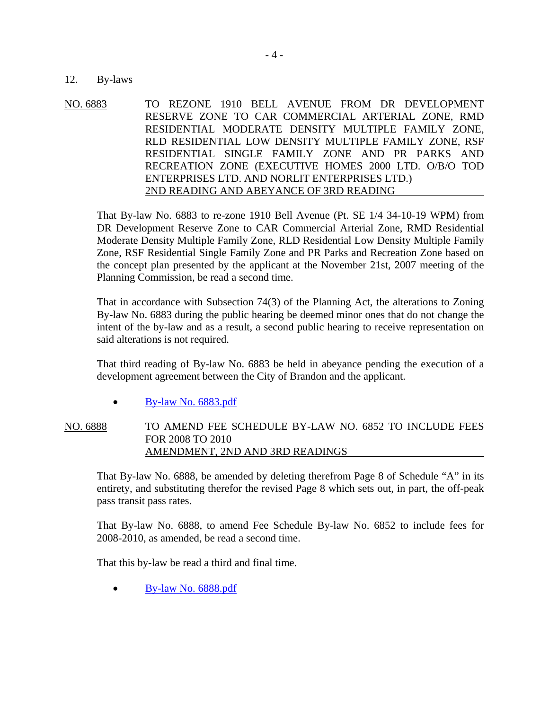#### 12. By-laws

NO. 6883 TO REZONE 1910 BELL AVENUE FROM DR DEVELOPMENT RESERVE ZONE TO CAR COMMERCIAL ARTERIAL ZONE, RMD RESIDENTIAL MODERATE DENSITY MULTIPLE FAMILY ZONE, RLD RESIDENTIAL LOW DENSITY MULTIPLE FAMILY ZONE, RSF RESIDENTIAL SINGLE FAMILY ZONE AND PR PARKS AND RECREATION ZONE (EXECUTIVE HOMES 2000 LTD. O/B/O TOD ENTERPRISES LTD. AND NORLIT ENTERPRISES LTD.) 2ND READING AND ABEYANCE OF 3RD READING

That By-law No. 6883 to re-zone 1910 Bell Avenue (Pt. SE 1/4 34-10-19 WPM) from DR Development Reserve Zone to CAR Commercial Arterial Zone, RMD Residential Moderate Density Multiple Family Zone, RLD Residential Low Density Multiple Family Zone, RSF Residential Single Family Zone and PR Parks and Recreation Zone based on the concept plan presented by the applicant at the November 21st, 2007 meeting of the Planning Commission, be read a second time.

That in accordance with Subsection 74(3) of the Planning Act, the alterations to Zoning By-law No. 6883 during the public hearing be deemed minor ones that do not change the intent of the by-law and as a result, a second public hearing to receive representation on said alterations is not required.

That third reading of By-law No. 6883 be held in abeyance pending the execution of a development agreement between the City of Brandon and the applicant.

 $\bullet$  By-law No. 6883.pdf

NO. 6888 TO AMEND FEE SCHEDULE BY-LAW NO. 6852 TO INCLUDE FEES FOR 2008 TO 2010 AMENDMENT, 2ND AND 3RD READINGS

That By-law No. 6888, be amended by deleting therefrom Page 8 of Schedule "A" in its entirety, and substituting therefor the revised Page 8 which sets out, in part, the off-peak pass transit pass rates.

That By-law No. 6888, to amend Fee Schedule By-law No. 6852 to include fees for 2008-2010, as amended, be read a second time.

That this by-law be read a third and final time.

• By-law No. 6888.pdf